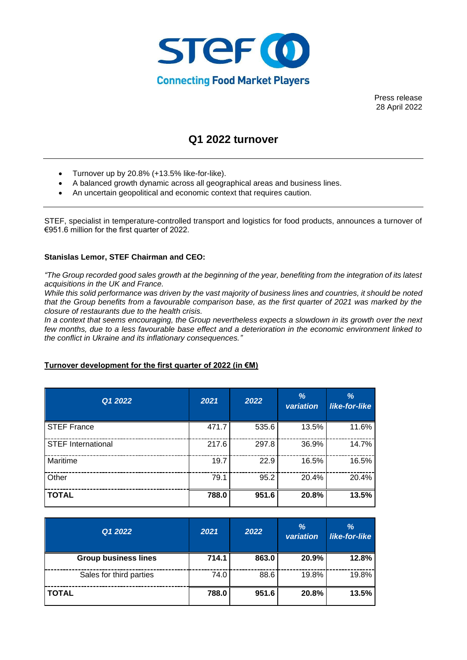

Press release 28 April 2022

# **Q1 2022 turnover**

- Turnover up by 20.8% (+13.5% like-for-like).
- A balanced growth dynamic across all geographical areas and business lines.
- An uncertain geopolitical and economic context that requires caution.

STEF, specialist in temperature-controlled transport and logistics for food products, announces a turnover of €951.6 million for the first quarter of 2022.

## **Stanislas Lemor, STEF Chairman and CEO:**

*"The Group recorded good sales growth at the beginning of the year, benefiting from the integration of its latest acquisitions in the UK and France.* 

*While this solid performance was driven by the vast majority of business lines and countries, it should be noted that the Group benefits from a favourable comparison base, as the first quarter of 2021 was marked by the closure of restaurants due to the health crisis.* 

*In a context that seems encouraging, the Group nevertheless expects a slowdown in its growth over the next few months, due to a less favourable base effect and a deterioration in the economic environment linked to the conflict in Ukraine and its inflationary consequences."*

## **Turnover development for the first quarter of 2022 (in €M)**

| Q1 2022                   | 2021  | 2022  | $\frac{9}{6}$<br>variation | $\frac{9}{6}$<br>like-for-like |
|---------------------------|-------|-------|----------------------------|--------------------------------|
| <b>STEF France</b>        | 471.7 | 535.6 | 13.5%                      | 11.6%                          |
| <b>STEF International</b> | 217.6 | 297.8 | 36.9%                      | 14.7%                          |
| Maritime                  | 19.7  | 22.9  | 16.5%                      | 16.5%                          |
| Other                     | 79.1  | 95.2  | 20.4%                      | 20.4%                          |
| <b>TOTAL</b>              | 788.0 | 951.6 | 20.8%                      | 13.5%                          |

| Q1 2022                     | 2021  | 2022  | %<br>variation | %<br>like-for-like |
|-----------------------------|-------|-------|----------------|--------------------|
| <b>Group business lines</b> | 714.1 | 863.0 | 20.9%          | 12.8%              |
| Sales for third parties     | 74.0  | 88.6  | 19.8%          | 19.8%              |
| <b>TOTAL</b>                | 788.0 | 951.6 | 20.8%          | 13.5%              |